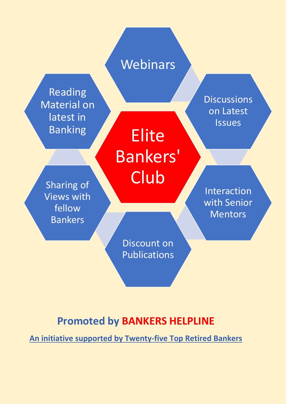

## **Promoted by BANKERS HELPLINE**

**An initiative supported by Twenty-five Top Retired Bankers**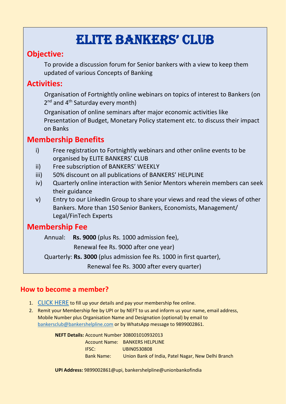# ELITE BANKERS' CLUB

### **Objective:**

To provide a discussion forum for Senior bankers with a view to keep them updated of various Concepts of Banking

### **Activities:**

Organisation of Fortnightly online webinars on topics of interest to Bankers (on 2<sup>nd</sup> and 4<sup>th</sup> Saturday every month)

Organisation of online seminars after major economic activities like Presentation of Budget, Monetary Policy statement etc. to discuss their impact on Banks

### **Membership Benefits**

- i) Free registration to Fortnightly webinars and other online events to be organised by ELITE BANKERS' CLUB
- ii) Free subscription of BANKERS' WEEKLY
- iii) 50% discount on all publications of BANKERS' HELPLINE
- iv) Quarterly online interaction with Senior Mentors wherein members can seek their guidance
- v) Entry to our LinkedIn Group to share your views and read the views of other Bankers. More than 150 Senior Bankers, Economists, Management/ Legal/FinTech Experts

### **Membership Fee**

Annual: **Rs. 9000** (plus Rs. 1000 admission fee),

Renewal fee Rs. 9000 after one year)

Quarterly: **Rs. 3000** (plus admission fee Rs. 1000 in first quarter),

Renewal fee Rs. 3000 after every quarter)

#### **How to become a member?**

- 1. [CLICK HERE](https://rzp.io/l/fwgsvYoOGs) to fill up your details and pay your membership fee online.
- 2. Remit your Membership fee by UPI or by NEFT to us and inform us your name, email address, Mobile Number plus Organisation Name and Designation (optional) by email to [bankersclub@bankershelpline.com](mailto:bankersclub@bankershelpline.com) or by WhatsApp message to 9899002861.

**NEFT Details:** Account Number 308001010932013 Account Name: BANKERS HELPLINE IFSC: UBIN0530808 Bank Name: Union Bank of India, Patel Nagar, New Delhi Branch

**UPI Address:** 9899002861@upi, bankershelpline@unionbankofindia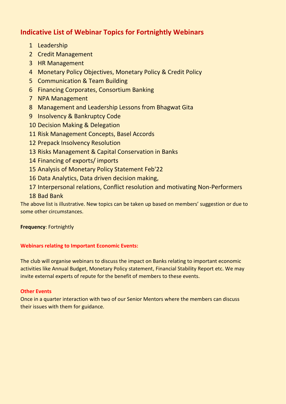#### **Indicative List of Webinar Topics for Fortnightly Webinars**

- Leadership
- Credit Management
- HR Management
- Monetary Policy Objectives, Monetary Policy & Credit Policy
- Communication & Team Building
- Financing Corporates, Consortium Banking
- NPA Management
- Management and Leadership Lessons from Bhagwat Gita
- Insolvency & Bankruptcy Code
- Decision Making & Delegation
- Risk Management Concepts, Basel Accords
- Prepack Insolvency Resolution
- Risks Management & Capital Conservation in Banks
- Financing of exports/ imports
- Analysis of Monetary Policy Statement Feb'22
- Data Analytics, Data driven decision making,
- Interpersonal relations, Conflict resolution and motivating Non-Performers

#### Bad Bank

The above list is illustrative. New topics can be taken up based on members' suggestion or due to some other circumstances.

#### **Frequency**: Fortnightly

#### **Webinars relating to Important Economic Events:**

The club will organise webinars to discuss the impact on Banks relating to important economic activities like Annual Budget, Monetary Policy statement, Financial Stability Report etc. We may invite external experts of repute for the benefit of members to these events.

#### **Other Events**

Once in a quarter interaction with two of our Senior Mentors where the members can discuss their issues with them for guidance.